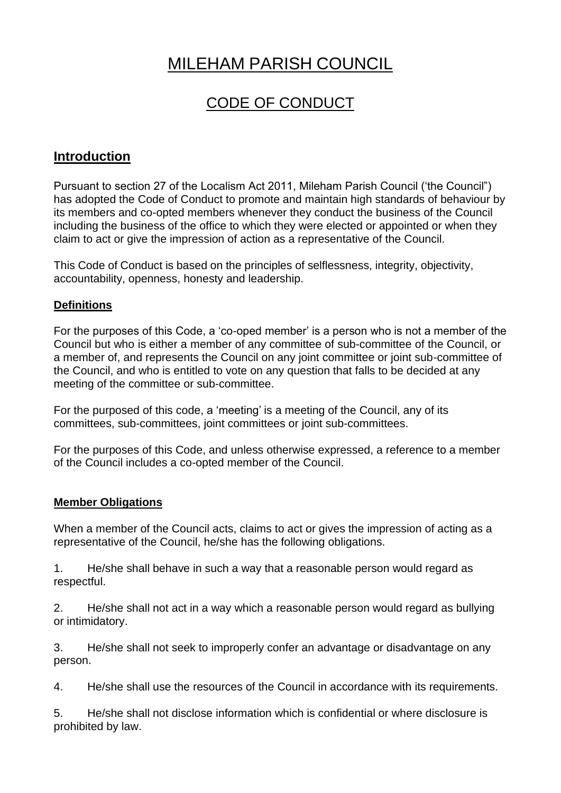# MILEHAM PARISH COUNCIL

# CODE OF CONDUCT

# **Introduction**

Pursuant to section 27 of the Localism Act 2011, Mileham Parish Council ('the Council") has adopted the Code of Conduct to promote and maintain high standards of behaviour by its members and co-opted members whenever they conduct the business of the Council including the business of the office to which they were elected or appointed or when they claim to act or give the impression of action as a representative of the Council.

This Code of Conduct is based on the principles of selflessness, integrity, objectivity, accountability, openness, honesty and leadership.

#### **Definitions**

For the purposes of this Code, a 'co-oped member' is a person who is not a member of the Council but who is either a member of any committee of sub-committee of the Council, or a member of, and represents the Council on any joint committee or joint sub-committee of the Council, and who is entitled to vote on any question that falls to be decided at any meeting of the committee or sub-committee.

For the purposed of this code, a 'meeting' is a meeting of the Council, any of its committees, sub-committees, joint committees or joint sub-committees.

For the purposes of this Code, and unless otherwise expressed, a reference to a member of the Council includes a co-opted member of the Council.

#### **Member Obligations**

When a member of the Council acts, claims to act or gives the impression of acting as a representative of the Council, he/she has the following obligations.

1. He/she shall behave in such a way that a reasonable person would regard as respectful.

2. He/she shall not act in a way which a reasonable person would regard as bullying or intimidatory.

3. He/she shall not seek to improperly confer an advantage or disadvantage on any person.

4. He/she shall use the resources of the Council in accordance with its requirements.

5. He/she shall not disclose information which is confidential or where disclosure is prohibited by law.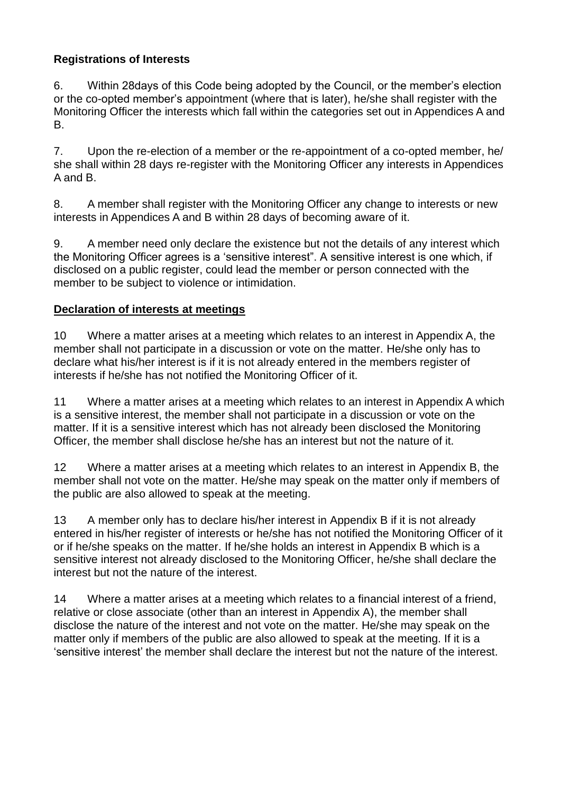### **Registrations of Interests**

6. Within 28days of this Code being adopted by the Council, or the member's election or the co-opted member's appointment (where that is later), he/she shall register with the Monitoring Officer the interests which fall within the categories set out in Appendices A and B.

7. Upon the re-election of a member or the re-appointment of a co-opted member, he/ she shall within 28 days re-register with the Monitoring Officer any interests in Appendices A and B.

8. A member shall register with the Monitoring Officer any change to interests or new interests in Appendices A and B within 28 days of becoming aware of it.

9. A member need only declare the existence but not the details of any interest which the Monitoring Officer agrees is a 'sensitive interest". A sensitive interest is one which, if disclosed on a public register, could lead the member or person connected with the member to be subject to violence or intimidation.

#### **Declaration of interests at meetings**

10 Where a matter arises at a meeting which relates to an interest in Appendix A, the member shall not participate in a discussion or vote on the matter. He/she only has to declare what his/her interest is if it is not already entered in the members register of interests if he/she has not notified the Monitoring Officer of it.

11 Where a matter arises at a meeting which relates to an interest in Appendix A which is a sensitive interest, the member shall not participate in a discussion or vote on the matter. If it is a sensitive interest which has not already been disclosed the Monitoring Officer, the member shall disclose he/she has an interest but not the nature of it.

12 Where a matter arises at a meeting which relates to an interest in Appendix B, the member shall not vote on the matter. He/she may speak on the matter only if members of the public are also allowed to speak at the meeting.

13 A member only has to declare his/her interest in Appendix B if it is not already entered in his/her register of interests or he/she has not notified the Monitoring Officer of it or if he/she speaks on the matter. If he/she holds an interest in Appendix B which is a sensitive interest not already disclosed to the Monitoring Officer, he/she shall declare the interest but not the nature of the interest.

14 Where a matter arises at a meeting which relates to a financial interest of a friend, relative or close associate (other than an interest in Appendix A), the member shall disclose the nature of the interest and not vote on the matter. He/she may speak on the matter only if members of the public are also allowed to speak at the meeting. If it is a 'sensitive interest' the member shall declare the interest but not the nature of the interest.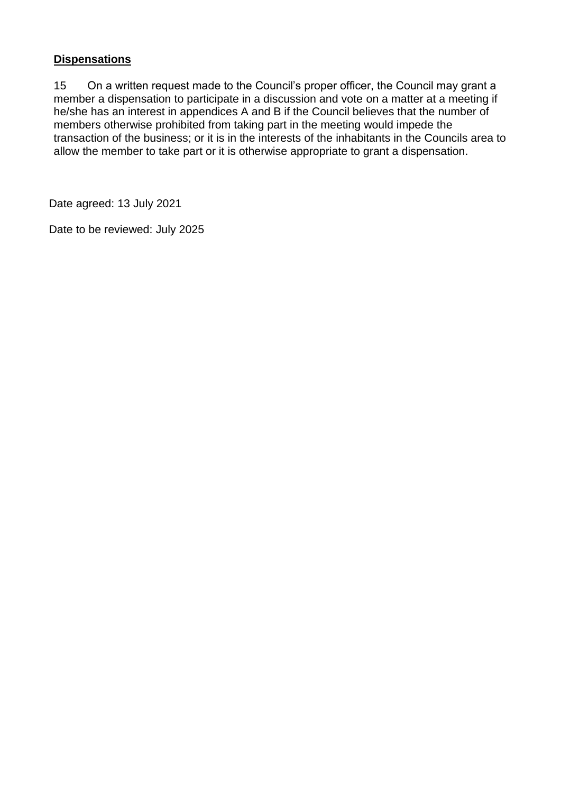#### **Dispensations**

15 On a written request made to the Council's proper officer, the Council may grant a member a dispensation to participate in a discussion and vote on a matter at a meeting if he/she has an interest in appendices A and B if the Council believes that the number of members otherwise prohibited from taking part in the meeting would impede the transaction of the business; or it is in the interests of the inhabitants in the Councils area to allow the member to take part or it is otherwise appropriate to grant a dispensation.

Date agreed: 13 July 2021

Date to be reviewed: July 2025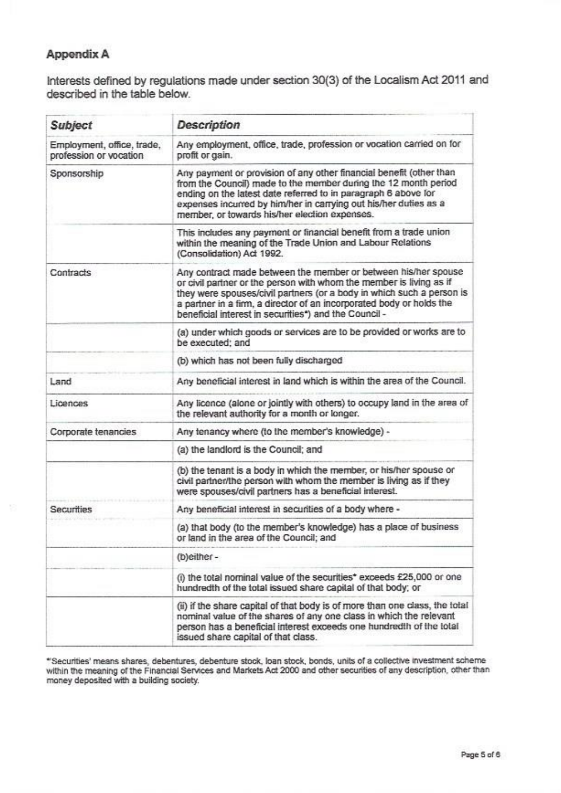## Appendix A

Interests defined by regulations made under section 30(3) of the Localism Act 2011 and described in the table below.

| <b>Subject</b>                                       | <b>Description</b>                                                                                                                                                                                                                                                                                                                              |
|------------------------------------------------------|-------------------------------------------------------------------------------------------------------------------------------------------------------------------------------------------------------------------------------------------------------------------------------------------------------------------------------------------------|
| Employment, office, trade,<br>profession or vocation | Any employment, office, trade, profession or vocation carried on for<br>profit or gain.                                                                                                                                                                                                                                                         |
| Sponsorship                                          | Any payment or provision of any other financial benefit (other than<br>from the Council) made to the member during the 12 month period<br>ending on the latest date referred to in paragraph 6 above for<br>expenses incurred by him/her in carrying out his/her duties as a<br>member, or towards his/her election expenses.                   |
|                                                      | This includes any payment or financial benefit from a trade union<br>within the meaning of the Trade Union and Labour Relations<br>(Consolidation) Act 1992.                                                                                                                                                                                    |
| Contracts                                            | Any contract made between the member or between his/her spouse<br>or civil partner or the person with whom the member is living as if<br>they were spouses/civil partners (or a body in which such a person is<br>a partner in a firm, a director of an incorporated body or holds the<br>beneficial interest in securities*) and the Council - |
|                                                      | (a) under which goods or services are to be provided or works are to<br>be executed; and                                                                                                                                                                                                                                                        |
|                                                      | (b) which has not been fully discharged                                                                                                                                                                                                                                                                                                         |
| Land                                                 | Any beneficial interest in land which is within the area of the Council.                                                                                                                                                                                                                                                                        |
| Licences                                             | Any licence (alone or jointly with others) to occupy land in the area of<br>the relevant authority for a month or longer.                                                                                                                                                                                                                       |
| Corporate tenancies                                  | Any tenancy where (to the member's knowledge) -                                                                                                                                                                                                                                                                                                 |
|                                                      | (a) the landlord is the Council; and                                                                                                                                                                                                                                                                                                            |
|                                                      | (b) the tenant is a body in which the member, or his/her spouse or<br>civil partner/the person with whom the member is living as if they<br>were spouses/civil partners has a beneficial interest.                                                                                                                                              |
| Securities                                           | Any beneficial interest in securities of a body where -                                                                                                                                                                                                                                                                                         |
|                                                      | (a) that body (to the member's knowledge) has a place of business<br>or land in the area of the Council; and                                                                                                                                                                                                                                    |
|                                                      | (b)either-                                                                                                                                                                                                                                                                                                                                      |
|                                                      | (i) the total nominal value of the securities* exceeds £25,000 or one<br>hundredth of the total issued share capital of that body; or                                                                                                                                                                                                           |
|                                                      | (ii) if the share capital of that body is of more than one class, the total<br>nominal value of the shares of any one class in which the relevant<br>person has a beneficial interest exceeds one hundredih of the total<br>issued share capital of that class.                                                                                 |

\*Securities' means shares, debentures, debenture stock, loan stock, bonds, units of a collective investment scheme<br>within the meaning of the Financial Services and Markets Act 2000 and other securities of any description,